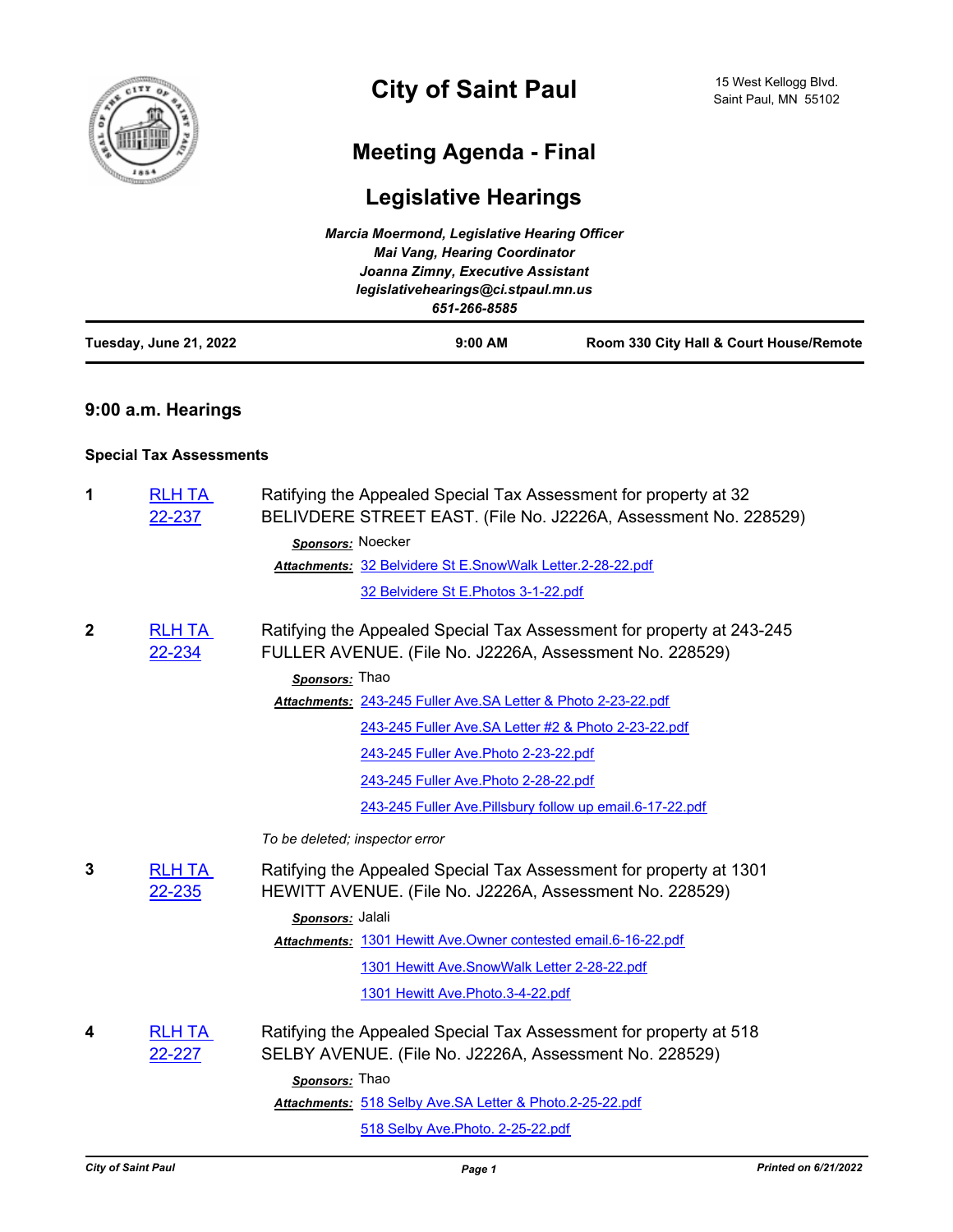

# **City of Saint Paul**

# **Meeting Agenda - Final**

# **Legislative Hearings**

|                        | <b>Marcia Moermond, Legislative Hearing Officer</b><br>Mai Vang, Hearing Coordinator |                                         |  |
|------------------------|--------------------------------------------------------------------------------------|-----------------------------------------|--|
|                        |                                                                                      |                                         |  |
|                        | Joanna Zimny, Executive Assistant                                                    |                                         |  |
|                        | legislativehearings@ci.stpaul.mn.us                                                  |                                         |  |
|                        | 651-266-8585                                                                         |                                         |  |
| Tuesday, June 21, 2022 | $9:00$ AM                                                                            | Room 330 City Hall & Court House/Remote |  |

# **9:00 a.m. Hearings**

## **Special Tax Assessments**

| 1            | <b>RLH TA</b><br>22-237 | Ratifying the Appealed Special Tax Assessment for property at 32<br>BELIVDERE STREET EAST. (File No. J2226A, Assessment No. 228529) |
|--------------|-------------------------|-------------------------------------------------------------------------------------------------------------------------------------|
|              |                         | Sponsors: Noecker                                                                                                                   |
|              |                         | Attachments: 32 Belvidere St E.SnowWalk Letter.2-28-22.pdf                                                                          |
|              |                         | 32 Belvidere St E. Photos 3-1-22.pdf                                                                                                |
| $\mathbf{2}$ | <b>RLH TA</b><br>22-234 | Ratifying the Appealed Special Tax Assessment for property at 243-245<br>FULLER AVENUE. (File No. J2226A, Assessment No. 228529)    |
|              |                         | Sponsors: Thao                                                                                                                      |
|              |                         | Attachments: 243-245 Fuller Ave.SA Letter & Photo 2-23-22.pdf                                                                       |
|              |                         | 243-245 Fuller Ave.SA Letter #2 & Photo 2-23-22.pdf                                                                                 |
|              |                         | 243-245 Fuller Ave. Photo 2-23-22.pdf                                                                                               |
|              |                         | 243-245 Fuller Ave. Photo 2-28-22.pdf                                                                                               |
|              |                         | 243-245 Fuller Ave. Pillsbury follow up email. 6-17-22.pdf                                                                          |
|              |                         | To be deleted; inspector error                                                                                                      |
| 3            | <b>RLH TA</b><br>22-235 | Ratifying the Appealed Special Tax Assessment for property at 1301<br>HEWITT AVENUE. (File No. J2226A, Assessment No. 228529)       |
|              |                         | Sponsors: Jalali                                                                                                                    |
|              |                         | Attachments: 1301 Hewitt Ave.Owner contested email.6-16-22.pdf                                                                      |
|              |                         | 1301 Hewitt Ave.SnowWalk Letter 2-28-22.pdf                                                                                         |
|              |                         | 1301 Hewitt Ave. Photo. 3-4-22.pdf                                                                                                  |
| 4            | <b>RLH TA</b><br>22-227 | Ratifying the Appealed Special Tax Assessment for property at 518<br>SELBY AVENUE. (File No. J2226A, Assessment No. 228529)         |
|              |                         | Sponsors: Thao                                                                                                                      |
|              |                         | Attachments: 518 Selby Ave.SA Letter & Photo.2-25-22.pdf                                                                            |
|              |                         | 518 Selby Ave. Photo. 2-25-22.pdf                                                                                                   |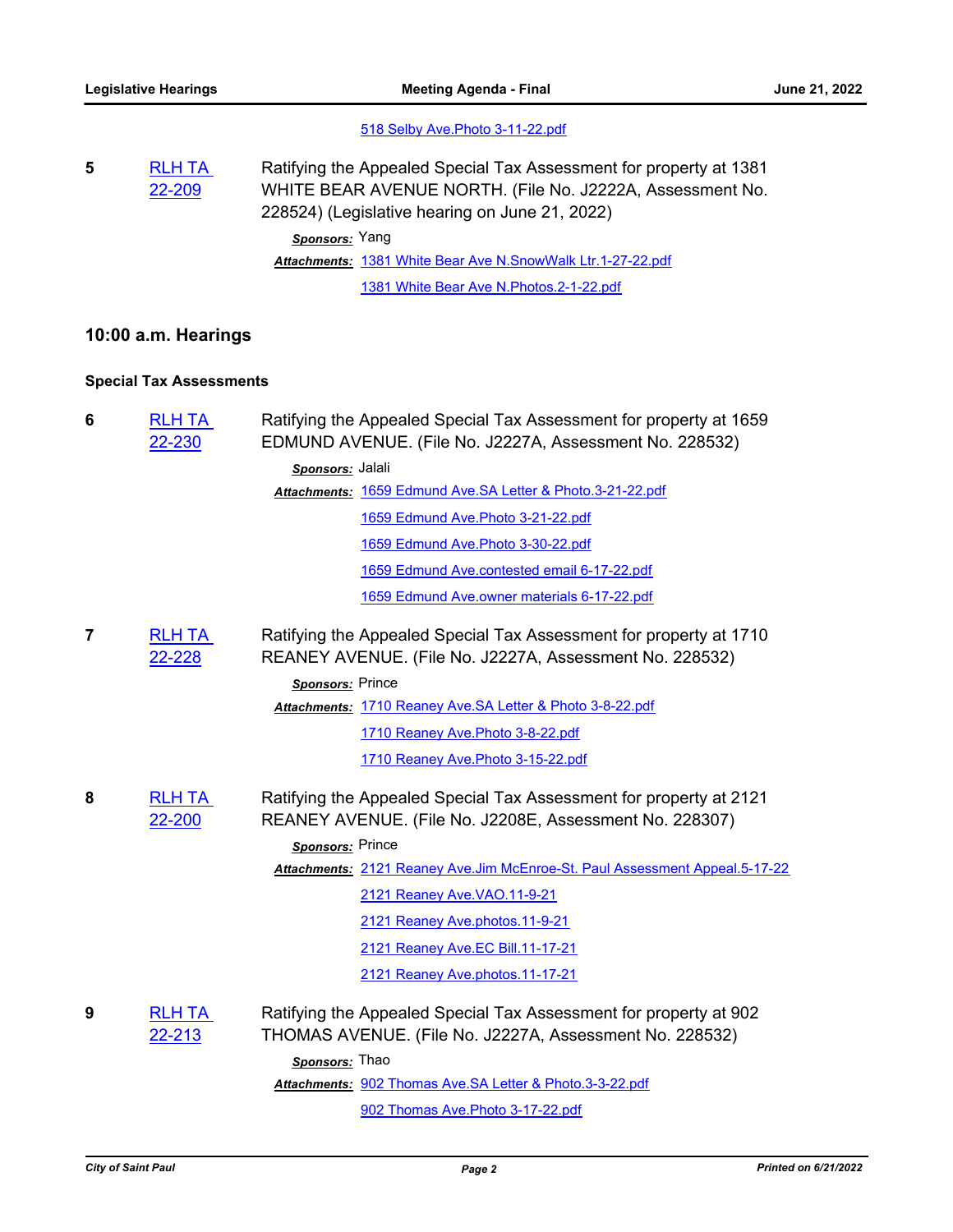### [518 Selby Ave.Photo 3-11-22.pdf](http://StPaul.legistar.com/gateway.aspx?M=F&ID=1bc68e6d-2bbb-46b8-91ab-41c4fb5852af.pdf)

**5** [RLH TA](http://stpaul.legistar.com/gateway.aspx?m=l&id=/matter.aspx?key=41954)  22-209 Ratifying the Appealed Special Tax Assessment for property at 1381 WHITE BEAR AVENUE NORTH. (File No. J2222A, Assessment No. 228524) (Legislative hearing on June 21, 2022) *Sponsors:* Yang Attachments: [1381 White Bear Ave N.SnowWalk Ltr.1-27-22.pdf](http://StPaul.legistar.com/gateway.aspx?M=F&ID=c91047a6-554b-46be-92e3-822a5e6e0f86.pdf) [1381 White Bear Ave N.Photos.2-1-22.pdf](http://StPaul.legistar.com/gateway.aspx?M=F&ID=a329a04b-0665-4f99-b5f8-6326dbc668b5.pdf)

## **10:00 a.m. Hearings**

## **Special Tax Assessments**

| 6 | <b>RLH TA</b><br>22-230 | Ratifying the Appealed Special Tax Assessment for property at 1659<br>EDMUND AVENUE. (File No. J2227A, Assessment No. 228532) |
|---|-------------------------|-------------------------------------------------------------------------------------------------------------------------------|
|   |                         | Sponsors: Jalali                                                                                                              |
|   |                         | Attachments: 1659 Edmund Ave.SA Letter & Photo.3-21-22.pdf                                                                    |
|   |                         | 1659 Edmund Ave. Photo 3-21-22.pdf                                                                                            |
|   |                         | 1659 Edmund Ave. Photo 3-30-22.pdf                                                                                            |
|   |                         | 1659 Edmund Ave.contested email 6-17-22.pdf                                                                                   |
|   |                         | 1659 Edmund Ave.owner materials 6-17-22.pdf                                                                                   |
| 7 | <b>RLH TA</b><br>22-228 | Ratifying the Appealed Special Tax Assessment for property at 1710<br>REANEY AVENUE. (File No. J2227A, Assessment No. 228532) |
|   |                         | Sponsors: Prince                                                                                                              |
|   |                         | Attachments: 1710 Reaney Ave.SA Letter & Photo 3-8-22.pdf                                                                     |
|   |                         | 1710 Reaney Ave. Photo 3-8-22.pdf                                                                                             |
|   |                         | 1710 Reaney Ave. Photo 3-15-22.pdf                                                                                            |
| 8 | <b>RLH TA</b><br>22-200 | Ratifying the Appealed Special Tax Assessment for property at 2121<br>REANEY AVENUE. (File No. J2208E, Assessment No. 228307) |
|   |                         | Sponsors: Prince                                                                                                              |
|   |                         | Attachments: 2121 Reaney Ave.Jim McEnroe-St. Paul Assessment Appeal.5-17-22                                                   |
|   |                         | 2121 Reaney Ave. VAO. 11-9-21                                                                                                 |
|   |                         | 2121 Reaney Ave.photos.11-9-21                                                                                                |
|   |                         | 2121 Reaney Ave.EC Bill.11-17-21                                                                                              |
|   |                         | 2121 Reaney Ave.photos.11-17-21                                                                                               |
| 9 | <b>RLH TA</b><br>22-213 | Ratifying the Appealed Special Tax Assessment for property at 902<br>THOMAS AVENUE. (File No. J2227A, Assessment No. 228532)  |
|   |                         | Sponsors: Thao                                                                                                                |
|   |                         | Attachments: 902 Thomas Ave.SA Letter & Photo.3-3-22.pdf                                                                      |
|   |                         | 902 Thomas Ave. Photo 3-17-22.pdf                                                                                             |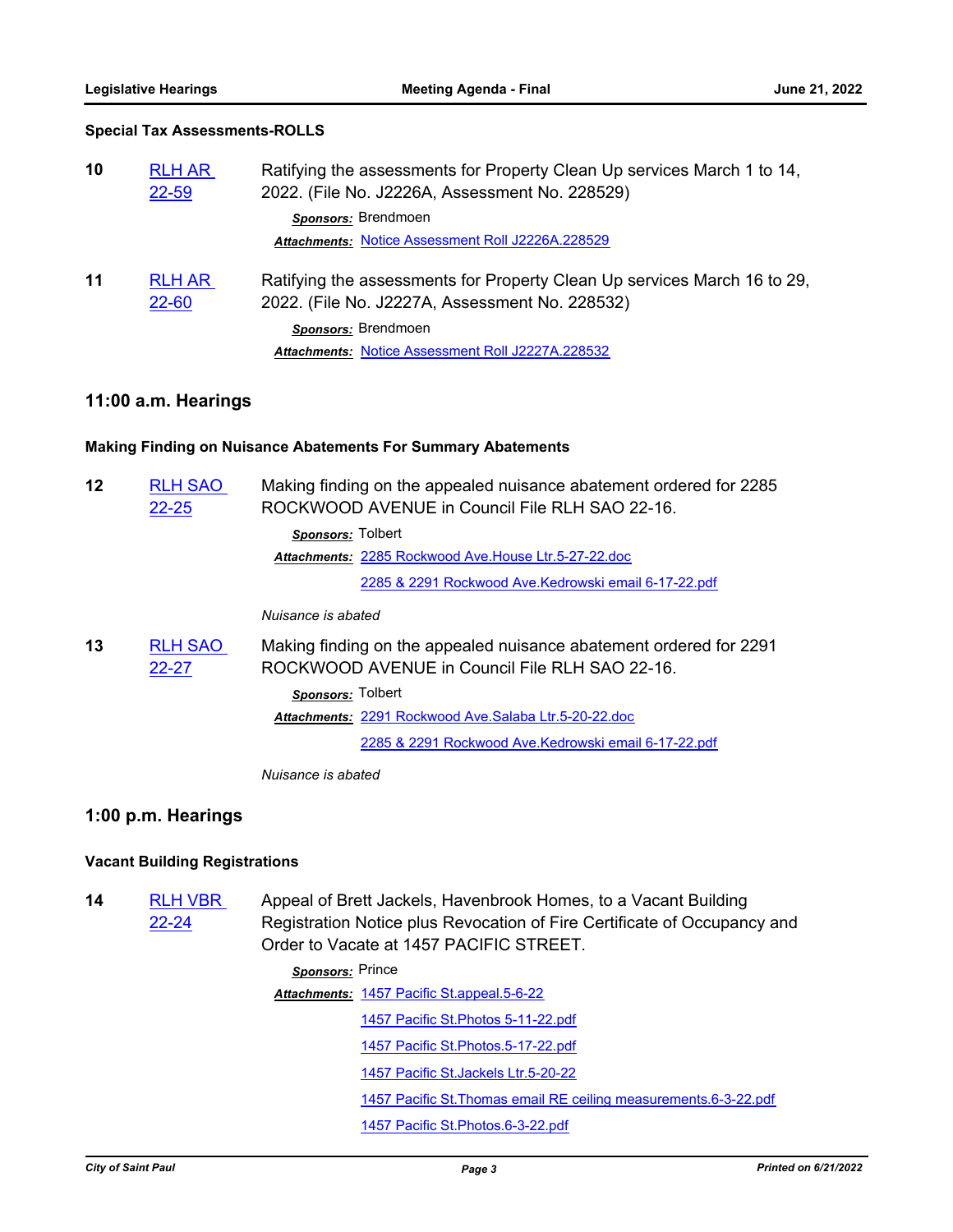### **Special Tax Assessments-ROLLS**

| 10 | <b>RLH AR</b><br>22-59 | Ratifying the assessments for Property Clean Up services March 1 to 14,<br>2022. (File No. J2226A, Assessment No. 228529)  |
|----|------------------------|----------------------------------------------------------------------------------------------------------------------------|
|    |                        | Sponsors: Brendmoen                                                                                                        |
|    |                        | Attachments: Notice Assessment Roll J2226A.228529                                                                          |
| 11 | <b>RLH AR</b><br>22-60 | Ratifying the assessments for Property Clean Up services March 16 to 29,<br>2022. (File No. J2227A, Assessment No. 228532) |
|    |                        | Sponsors: Brendmoen                                                                                                        |
|    |                        | Attachments: Notice Assessment Roll J2227A.228532                                                                          |

### **11:00 a.m. Hearings**

#### **Making Finding on Nuisance Abatements For Summary Abatements**

| 12 | <b>RLH SAO</b><br>22-25 | Making finding on the appealed nuisance abatement ordered for 2285<br>ROCKWOOD AVENUE in Council File RLH SAO 22-16. |
|----|-------------------------|----------------------------------------------------------------------------------------------------------------------|
|    |                         | Sponsors: Tolbert                                                                                                    |
|    |                         | Attachments: 2285 Rockwood Ave.House Ltr.5-27-22.doc                                                                 |
|    |                         | 2285 & 2291 Rockwood Ave.Kedrowski email 6-17-22.pdf                                                                 |
|    |                         | Nuisance is abated                                                                                                   |
| 13 | <b>RLH SAO</b><br>22-27 | Making finding on the appealed nuisance abatement ordered for 2291<br>ROCKWOOD AVENUE in Council File RLH SAO 22-16. |
|    |                         | Sponsors: Tolbert                                                                                                    |
|    |                         | Attachments: 2291 Rockwood Ave. Salaba Ltr. 5-20-22. doc                                                             |
|    |                         | 2285 & 2291 Rockwood Ave.Kedrowski email 6-17-22.pdf                                                                 |
|    |                         |                                                                                                                      |

*Nuisance is abated*

## **1:00 p.m. Hearings**

### **Vacant Building Registrations**

**14** [RLH VBR](http://stpaul.legistar.com/gateway.aspx?m=l&id=/matter.aspx?key=41792)  22-24 Appeal of Brett Jackels, Havenbrook Homes, to a Vacant Building Registration Notice plus Revocation of Fire Certificate of Occupancy and Order to Vacate at 1457 PACIFIC STREET.

> *Sponsors:* Prince [1457 Pacific St.appeal.5-6-22](http://StPaul.legistar.com/gateway.aspx?M=F&ID=e44bd6b7-a713-4f01-84b1-33644c837f33.pdf) *Attachments:* [1457 Pacific St.Photos 5-11-22.pdf](http://StPaul.legistar.com/gateway.aspx?M=F&ID=9026abd7-5218-46f5-a893-719346597eb5.pdf) [1457 Pacific St.Photos.5-17-22.pdf](http://StPaul.legistar.com/gateway.aspx?M=F&ID=fc15b08c-8faa-467c-bb24-041bbf6e7ecd.pdf) [1457 Pacific St.Jackels Ltr.5-20-22](http://StPaul.legistar.com/gateway.aspx?M=F&ID=04d3d8dc-0518-4293-9475-c6c1987a5e10.pdf) [1457 Pacific St.Thomas email RE ceiling measurements.6-3-22.pdf](http://StPaul.legistar.com/gateway.aspx?M=F&ID=a753e0d4-8d87-44ea-ae72-a2b17a65ac12.pdf) [1457 Pacific St.Photos.6-3-22.pdf](http://StPaul.legistar.com/gateway.aspx?M=F&ID=17a14564-157b-44ba-b4b0-958e85772b9f.pdf)